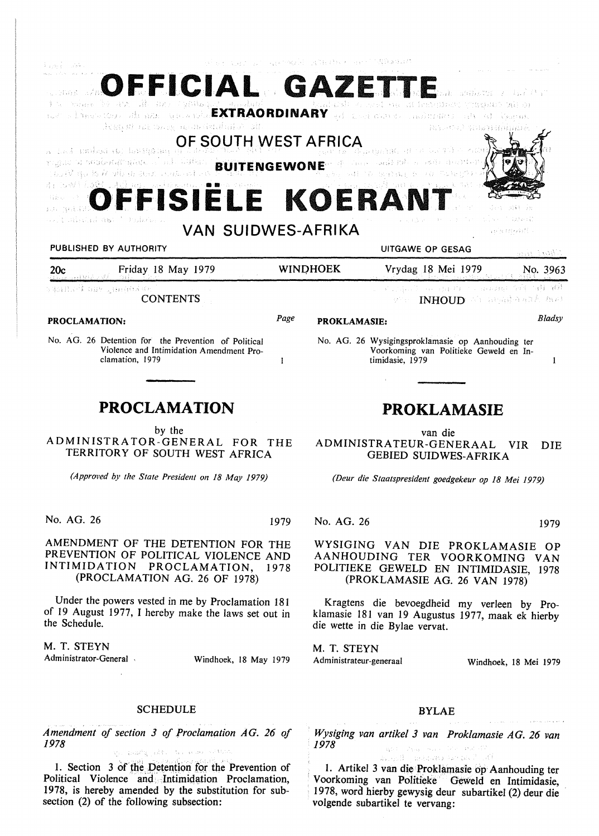| င်းသည်များ သည်သို့ မ                                                                                                                                                                                    |      | 일본 단어를 그리며 저도 사고로 이루어져야 하셨 |                                                                                                                                                      |                           |
|---------------------------------------------------------------------------------------------------------------------------------------------------------------------------------------------------------|------|----------------------------|------------------------------------------------------------------------------------------------------------------------------------------------------|---------------------------|
| OFFICIAL GAZETT<br>Steamer DA Grant Silver<br>not a libertature ads man specie near EXTRAORDINARY adjusted and descriptions and adjustment<br>destruir an un ann ann Genual Com<br>OF SOUTH WEST AFRICA |      |                            | <i>Partieter Strapperman</i>                                                                                                                         |                           |
| The particular (a) lawling that if<br>paguo a sedekapagkok alauli bulaa 1<br>$\mu_{\rm{G}}$ is a similar definition of $\mu_{\rm{G}}$<br>OFFISIËLE KOERA<br>그들은 일찍 말로                                   |      |                            | $_{\rm 1.8}$ at $\overline{\rm 1.6}$ , $\overline{\rm 0.7}$ ,<br>retaining and $\overline{\rm 0.7}$<br><b>BUITENGEWONE</b> A consumer and a consumer |                           |
| <b>VAN SUIDWES-AFRIKA</b><br>PUBLISHED BY AUTHORITY                                                                                                                                                     |      |                            | UITGAWE OP GESAG                                                                                                                                     | ariganing Cil<br>an i wit |
| Friday 18 May 1979<br>20c<br>ગુજરાત રાજ્ય                                                                                                                                                               |      | <b>WINDHOEK</b>            | Vrydag 18 Mei 1979                                                                                                                                   | No. 3963                  |
| នដុះអាចក្បី បន្ថម ទីក្រុងស្រុ<br><b>CONTENTS</b>                                                                                                                                                        |      |                            | . An international constant of the set<br>INHOUD All applying and man                                                                                |                           |
| <b>PROCLAMATION:</b>                                                                                                                                                                                    | Page | <b>PROKLAMASIE:</b>        |                                                                                                                                                      | Bladsy                    |
| No. AG. 26 Detention for the Prevention of Political<br>Violence and Intimidation Amendment Pro-<br>clamation, 1979                                                                                     | 1    |                            | No. AG. 26 Wysigingsproklamasie op Aanhouding ter<br>Voorkoming van Politieke Geweld en In-<br>timidasie, 1979                                       | 1                         |
|                                                                                                                                                                                                         |      |                            |                                                                                                                                                      |                           |
| <b>PROCLAMATION</b>                                                                                                                                                                                     |      | <b>PROKLAMASIE</b>         |                                                                                                                                                      |                           |
| by the<br>ADMINISTRATOR-GENERAL FOR<br>TERRITORY OF SOUTH WEST AFRICA                                                                                                                                   | THE  |                            | van die<br>ADMINISTRATEUR-GENERAAL<br><b>GEBIED SUIDWES-AFRIKA</b>                                                                                   | <b>VIR</b><br>DIE         |
| (Approved by the State President on 18 May 1979)                                                                                                                                                        |      |                            | (Deur die Staatspresident goedgekeur op 18 Mei 1979)                                                                                                 |                           |
| No. AG. 26                                                                                                                                                                                              | 1979 | No. AG. 26                 |                                                                                                                                                      | 1979                      |
| AMENDMENT OF THE DETENTION FOR THE<br>PREVENTION OF POLITICAL VIOLENCE AND<br>INTIMIDATION PROCLAMATION, 1978<br>(PROCLAMATION AG. 26 OF 1978)                                                          |      |                            | WYSIGING VAN DIE PROKLAMASIE OP<br>AANHOUDING TER VOORKOMING VAN<br>POLITIEKE GEWELD EN INTIMIDASIE, 1978<br>(PROKLAMASIE AG. 26 VAN 1978)           |                           |
| Under the powers vested in me by Proclamation 181<br>of 19 August 1977, I hereby make the laws set out in<br>the Schedule.                                                                              |      |                            | Kragtens die bevoegdheid my verleen by Pro-<br>klamasie 181 van 19 Augustus 1977, maak ek hierby<br>die wette in die Bylae vervat.                   |                           |
| M. T. STEYN                                                                                                                                                                                             |      | M. T. STEYN                |                                                                                                                                                      |                           |

Administrator-General Windhoek, 18 May 1979

## **SCHEDULE**

Amendment of section 3 of Proclamation AG. 26 of *1978*  

1. Section 3 of the Detention for the Prevention of Political Violence and Intimidation Proclamation, 1978, is hereby amended by the substitution for subsection (2) of the following subsection:

BYLAE

Administrateur-generaal Windhoek, 18 Mei 1979

*Wysiging van artikel 3 van Proklamasie AG. 26 van 1978*   $\mathbf{q}_1(\mathbf{r}) = \mathcal{P}_{\mathbf{M},\mathbf{Q}}$  , where  $\mathcal{P}_{\mathbf{M}}$  , and  $\mathcal{P}_{\mathbf{M}}$ 

ko goli – patano svou vel sti . 1. Artikel 3 van die Proklamasie op Aanhouding ter Voorkoming van Politieke Geweld en Intimidasie, 1978, word hierby gewysig deur subartikel (2) deur die volgende subartikel te vervang: